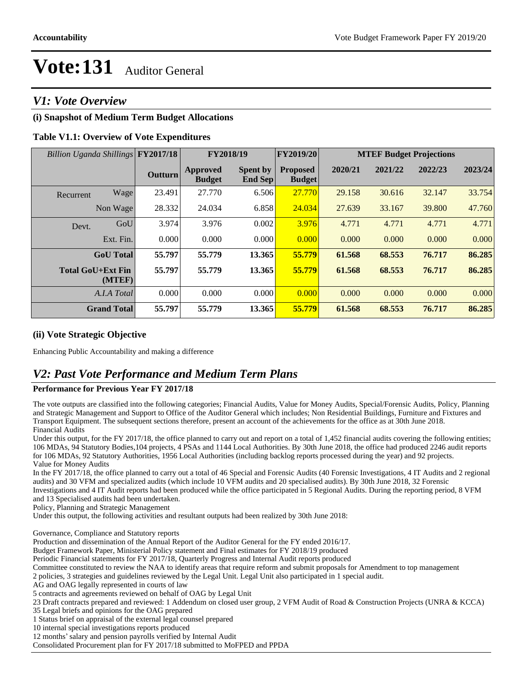### *V1: Vote Overview*

### **(i) Snapshot of Medium Term Budget Allocations**

#### **Table V1.1: Overview of Vote Expenditures**

| Billion Uganda Shillings FY2017/18 |      |         |                                  | FY2018/19                  | FY2019/20                        | <b>MTEF Budget Projections</b> |         |         |         |
|------------------------------------|------|---------|----------------------------------|----------------------------|----------------------------------|--------------------------------|---------|---------|---------|
|                                    |      | Outturn | <b>Approved</b><br><b>Budget</b> | <b>Spent by</b><br>End Sep | <b>Proposed</b><br><b>Budget</b> | 2020/21                        | 2021/22 | 2022/23 | 2023/24 |
| Recurrent                          | Wage | 23.491  | 27.770                           | 6.506                      | 27.770                           | 29.158                         | 30.616  | 32.147  | 33.754  |
| Non Wage                           |      | 28.332  | 24.034                           | 6.858                      | 24.034                           | 27.639                         | 33.167  | 39.800  | 47.760  |
| Devt.                              | GoU  | 3.974   | 3.976                            | 0.002                      | 3.976                            | 4.771                          | 4.771   | 4.771   | 4.771   |
| Ext. Fin.                          |      | 0.000   | 0.000                            | 0.000                      | 0.000                            | 0.000                          | 0.000   | 0.000   | 0.000   |
| <b>GoU</b> Total                   |      | 55.797  | 55.779                           | 13.365                     | 55.779                           | 61.568                         | 68.553  | 76.717  | 86.285  |
| <b>Total GoU+Ext Fin</b><br>(MTEF) |      | 55.797  | 55.779                           | 13.365                     | 55.779                           | 61.568                         | 68.553  | 76.717  | 86.285  |
| A.I.A Total                        |      | 0.000   | 0.000                            | 0.000                      | 0.000                            | 0.000                          | 0.000   | 0.000   | 0.000   |
| <b>Grand Total</b>                 |      | 55.797  | 55.779                           | 13.365                     | 55.779                           | 61.568                         | 68.553  | 76.717  | 86.285  |

#### **(ii) Vote Strategic Objective**

Enhancing Public Accountability and making a difference

### *V2: Past Vote Performance and Medium Term Plans*

#### **Performance for Previous Year FY 2017/18**

The vote outputs are classified into the following categories; Financial Audits, Value for Money Audits, Special/Forensic Audits, Policy, Planning and Strategic Management and Support to Office of the Auditor General which includes; Non Residential Buildings, Furniture and Fixtures and Transport Equipment. The subsequent sections therefore, present an account of the achievements for the office as at 30th June 2018. Financial Audits

Under this output, for the FY 2017/18, the office planned to carry out and report on a total of 1,452 financial audits covering the following entities; 106 MDAs, 94 Statutory Bodies,104 projects, 4 PSAs and 1144 Local Authorities. By 30th June 2018, the office had produced 2246 audit reports for 106 MDAs, 92 Statutory Authorities, 1956 Local Authorities (including backlog reports processed during the year) and 92 projects. Value for Money Audits

In the FY 2017/18, the office planned to carry out a total of 46 Special and Forensic Audits (40 Forensic Investigations, 4 IT Audits and 2 regional audits) and 30 VFM and specialized audits (which include 10 VFM audits and 20 specialised audits). By 30th June 2018, 32 Forensic

Investigations and 4 IT Audit reports had been produced while the office participated in 5 Regional Audits. During the reporting period, 8 VFM and 13 Specialised audits had been undertaken.

Policy, Planning and Strategic Management

Under this output, the following activities and resultant outputs had been realized by 30th June 2018:

Governance, Compliance and Statutory reports

Production and dissemination of the Annual Report of the Auditor General for the FY ended 2016/17.

Budget Framework Paper, Ministerial Policy statement and Final estimates for FY 2018/19 produced

Periodic Financial statements for FY 2017/18, Quarterly Progress and Internal Audit reports produced

Committee constituted to review the NAA to identify areas that require reform and submit proposals for Amendment to top management

2 policies, 3 strategies and guidelines reviewed by the Legal Unit. Legal Unit also participated in 1 special audit.

AG and OAG legally represented in courts of law

5 contracts and agreements reviewed on behalf of OAG by Legal Unit

23 Draft contracts prepared and reviewed: 1 Addendum on closed user group, 2 VFM Audit of Road & Construction Projects (UNRA & KCCA)

35 Legal briefs and opinions for the OAG prepared

1 Status brief on appraisal of the external legal counsel prepared

10 internal special investigations reports produced

12 months' salary and pension payrolls verified by Internal Audit

Consolidated Procurement plan for FY 2017/18 submitted to MoFPED and PPDA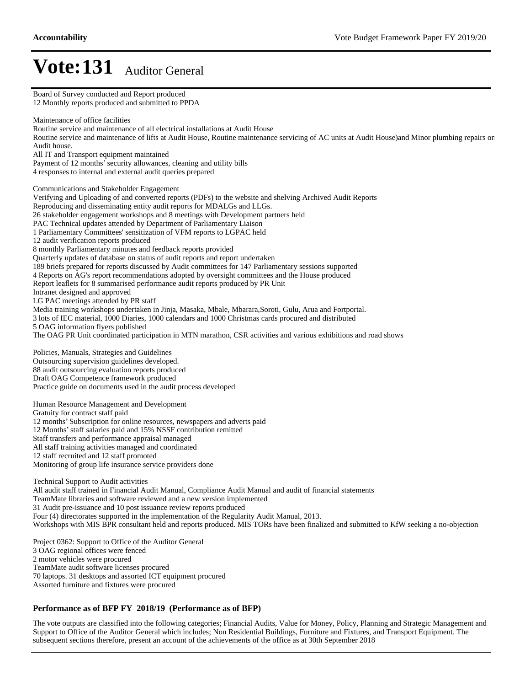Board of Survey conducted and Report produced 12 Monthly reports produced and submitted to PPDA Maintenance of office facilities Routine service and maintenance of all electrical installations at Audit House Routine service and maintenance of lifts at Audit House, Routine maintenance servicing of AC units at Audit House)and Minor plumbing repairs on Audit house. All IT and Transport equipment maintained Payment of 12 months' security allowances, cleaning and utility bills 4 responses to internal and external audit queries prepared Communications and Stakeholder Engagement Verifying and Uploading of and converted reports (PDFs) to the website and shelving Archived Audit Reports Reproducing and disseminating entity audit reports for MDALGs and LLGs. 26 stakeholder engagement workshops and 8 meetings with Development partners held PAC Technical updates attended by Department of Parliamentary Liaison 1 Parliamentary Committees' sensitization of VFM reports to LGPAC held 12 audit verification reports produced 8 monthly Parliamentary minutes and feedback reports provided Quarterly updates of database on status of audit reports and report undertaken 189 briefs prepared for reports discussed by Audit committees for 147 Parliamentary sessions supported 4 Reports on AG's report recommendations adopted by oversight committees and the House produced Report leaflets for 8 summarised performance audit reports produced by PR Unit Intranet designed and approved LG PAC meetings attended by PR staff Media training workshops undertaken in Jinja, Masaka, Mbale, Mbarara,Soroti, Gulu, Arua and Fortportal. 3 lots of IEC material, 1000 Diaries, 1000 calendars and 1000 Christmas cards procured and distributed 5 OAG information flyers published The OAG PR Unit coordinated participation in MTN marathon, CSR activities and various exhibitions and road shows Policies, Manuals, Strategies and Guidelines Outsourcing supervision guidelines developed. 88 audit outsourcing evaluation reports produced Draft OAG Competence framework produced Practice guide on documents used in the audit process developed Human Resource Management and Development Gratuity for contract staff paid 12 months' Subscription for online resources, newspapers and adverts paid 12 Months' staff salaries paid and 15% NSSF contribution remitted Staff transfers and performance appraisal managed All staff training activities managed and coordinated 12 staff recruited and 12 staff promoted Monitoring of group life insurance service providers done Technical Support to Audit activities All audit staff trained in Financial Audit Manual, Compliance Audit Manual and audit of financial statements TeamMate libraries and software reviewed and a new version implemented 31 Audit pre-issuance and 10 post issuance review reports produced Four (4) directorates supported in the implementation of the Regularity Audit Manual, 2013. Workshops with MIS BPR consultant held and reports produced. MIS TORs have been finalized and submitted to KfW seeking a no-objection Project 0362: Support to Office of the Auditor General 3 OAG regional offices were fenced 2 motor vehicles were procured TeamMate audit software licenses procured 70 laptops. 31 desktops and assorted ICT equipment procured

Assorted furniture and fixtures were procured

#### **Performance as of BFP FY 2018/19 (Performance as of BFP)**

The vote outputs are classified into the following categories; Financial Audits, Value for Money, Policy, Planning and Strategic Management and Support to Office of the Auditor General which includes; Non Residential Buildings, Furniture and Fixtures, and Transport Equipment. The subsequent sections therefore, present an account of the achievements of the office as at 30th September 2018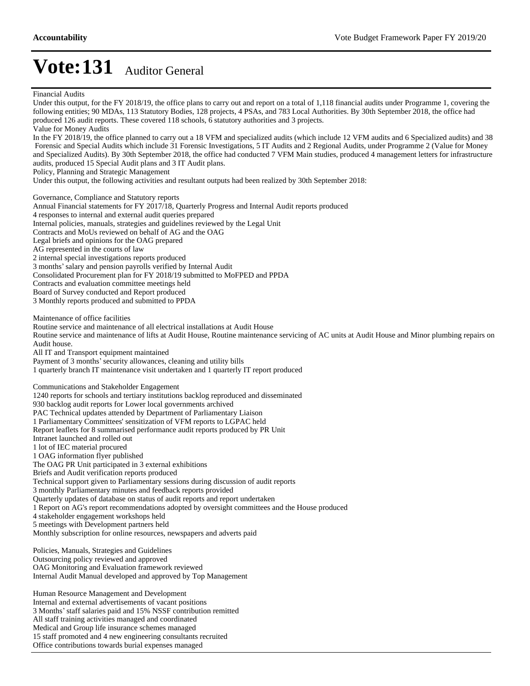Under this output, for the FY 2018/19, the office plans to carry out and report on a total of 1,118 financial audits under Programme 1, covering the following entities; 90 MDAs, 113 Statutory Bodies, 128 projects, 4 PSAs, and 783 Local Authorities. By 30th September 2018, the office had produced 126 audit reports. These covered 118 schools, 6 statutory authorities and 3 projects. Value for Money Audits In the FY 2018/19, the office planned to carry out a 18 VFM and specialized audits (which include 12 VFM audits and 6 Specialized audits) and 38 Forensic and Special Audits which include 31 Forensic Investigations, 5 IT Audits and 2 Regional Audits, under Programme 2 (Value for Money and Specialized Audits). By 30th September 2018, the office had conducted 7 VFM Main studies, produced 4 management letters for infrastructure audits, produced 15 Special Audit plans and 3 IT Audit plans. Policy, Planning and Strategic Management Under this output, the following activities and resultant outputs had been realized by 30th September 2018: Governance, Compliance and Statutory reports Annual Financial statements for FY 2017/18, Quarterly Progress and Internal Audit reports produced 4 responses to internal and external audit queries prepared Internal policies, manuals, strategies and guidelines reviewed by the Legal Unit Contracts and MoUs reviewed on behalf of AG and the OAG Legal briefs and opinions for the OAG prepared AG represented in the courts of law 2 internal special investigations reports produced 3 months' salary and pension payrolls verified by Internal Audit Consolidated Procurement plan for FY 2018/19 submitted to MoFPED and PPDA Contracts and evaluation committee meetings held Board of Survey conducted and Report produced 3 Monthly reports produced and submitted to PPDA Maintenance of office facilities Routine service and maintenance of all electrical installations at Audit House Routine service and maintenance of lifts at Audit House, Routine maintenance servicing of AC units at Audit House and Minor plumbing repairs on Audit house. All IT and Transport equipment maintained Payment of 3 months' security allowances, cleaning and utility bills 1 quarterly branch IT maintenance visit undertaken and 1 quarterly IT report produced Communications and Stakeholder Engagement 1240 reports for schools and tertiary institutions backlog reproduced and disseminated 930 backlog audit reports for Lower local governments archived PAC Technical updates attended by Department of Parliamentary Liaison 1 Parliamentary Committees' sensitization of VFM reports to LGPAC held Report leaflets for 8 summarised performance audit reports produced by PR Unit Intranet launched and rolled out 1 lot of IEC material procured 1 OAG information flyer published The OAG PR Unit participated in 3 external exhibitions Briefs and Audit verification reports produced Technical support given to Parliamentary sessions during discussion of audit reports 3 monthly Parliamentary minutes and feedback reports provided Quarterly updates of database on status of audit reports and report undertaken 1 Report on AG's report recommendations adopted by oversight committees and the House produced 4 stakeholder engagement workshops held 5 meetings with Development partners held Monthly subscription for online resources, newspapers and adverts paid Policies, Manuals, Strategies and Guidelines Outsourcing policy reviewed and approved OAG Monitoring and Evaluation framework reviewed Internal Audit Manual developed and approved by Top Management Human Resource Management and Development Internal and external advertisements of vacant positions 3 Months' staff salaries paid and 15% NSSF contribution remitted

All staff training activities managed and coordinated

Medical and Group life insurance schemes managed

15 staff promoted and 4 new engineering consultants recruited

Office contributions towards burial expenses managed

Financial Audits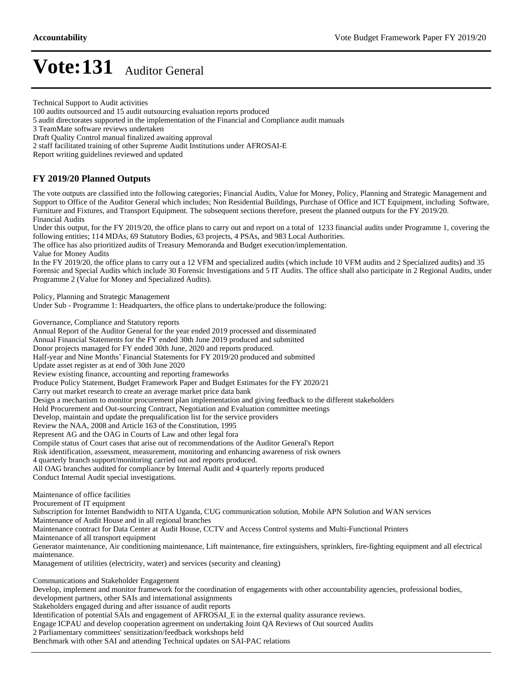Technical Support to Audit activities

100 audits outsourced and 15 audit outsourcing evaluation reports produced

Draft Quality Control manual finalized awaiting approval

2 staff facilitated training of other Supreme Audit Institutions under AFROSAI-E

Report writing guidelines reviewed and updated

### **FY 2019/20 Planned Outputs**

The vote outputs are classified into the following categories; Financial Audits, Value for Money, Policy, Planning and Strategic Management and Support to Office of the Auditor General which includes; Non Residential Buildings, Purchase of Office and ICT Equipment, including Software, Furniture and Fixtures, and Transport Equipment. The subsequent sections therefore, present the planned outputs for the FY 2019/20. Financial Audits

Under this output, for the FY 2019/20, the office plans to carry out and report on a total of 1233 financial audits under Programme 1, covering the following entities; 114 MDAs, 69 Statutory Bodies, 63 projects, 4 PSAs, and 983 Local Authorities.

The office has also prioritized audits of Treasury Memoranda and Budget execution/implementation. Value for Money Audits

In the FY 2019/20, the office plans to carry out a 12 VFM and specialized audits (which include 10 VFM audits and 2 Specialized audits) and 35 Forensic and Special Audits which include 30 Forensic Investigations and 5 IT Audits. The office shall also participate in 2 Regional Audits, under Programme 2 (Value for Money and Specialized Audits).

Policy, Planning and Strategic Management

Under Sub - Programme 1: Headquarters, the office plans to undertake/produce the following:

Governance, Compliance and Statutory reports

Annual Report of the Auditor General for the year ended 2019 processed and disseminated Annual Financial Statements for the FY ended 30th June 2019 produced and submitted Donor projects managed for FY ended 30th June, 2020 and reports produced. Half-year and Nine Months' Financial Statements for FY 2019/20 produced and submitted Update asset register as at end of 30th June 2020 Review existing finance, accounting and reporting frameworks Produce Policy Statement, Budget Framework Paper and Budget Estimates for the FY 2020/21 Carry out market research to create an average market price data bank Design a mechanism to monitor procurement plan implementation and giving feedback to the different stakeholders Hold Procurement and Out-sourcing Contract, Negotiation and Evaluation committee meetings Develop, maintain and update the prequalification list for the service providers Review the NAA, 2008 and Article 163 of the Constitution, 1995 Represent AG and the OAG in Courts of Law and other legal fora Compile status of Court cases that arise out of recommendations of the Auditor General's Report Risk identification, assessment, measurement, monitoring and enhancing awareness of risk owners 4 quarterly branch support/monitoring carried out and reports produced. All OAG branches audited for compliance by Internal Audit and 4 quarterly reports produced Conduct Internal Audit special investigations. Maintenance of office facilities Procurement of IT equipment Subscription for Internet Bandwidth to NITA Uganda, CUG communication solution, Mobile APN Solution and WAN services Maintenance of Audit House and in all regional branches Maintenance contract for Data Center at Audit House, CCTV and Access Control systems and Multi-Functional Printers Maintenance of all transport equipment Generator maintenance, Air conditioning maintenance, Lift maintenance, fire extinguishers, sprinklers, fire-fighting equipment and all electrical maintenance. Management of utilities (electricity, water) and services (security and cleaning) Communications and Stakeholder Engagement Develop, implement and monitor framework for the coordination of engagements with other accountability agencies, professional bodies, development partners, other SAIs and international assignments Stakeholders engaged during and after issuance of audit reports Identification of potential SAIs and engagement of AFROSAI\_E in the external quality assurance reviews. Engage ICPAU and develop cooperation agreement on undertaking Joint QA Reviews of Out sourced Audits

2 Parliamentary committees' sensitization/feedback workshops held

Benchmark with other SAI and attending Technical updates on SAI-PAC relations

<sup>5</sup> audit directorates supported in the implementation of the Financial and Compliance audit manuals

<sup>3</sup> TeamMate software reviews undertaken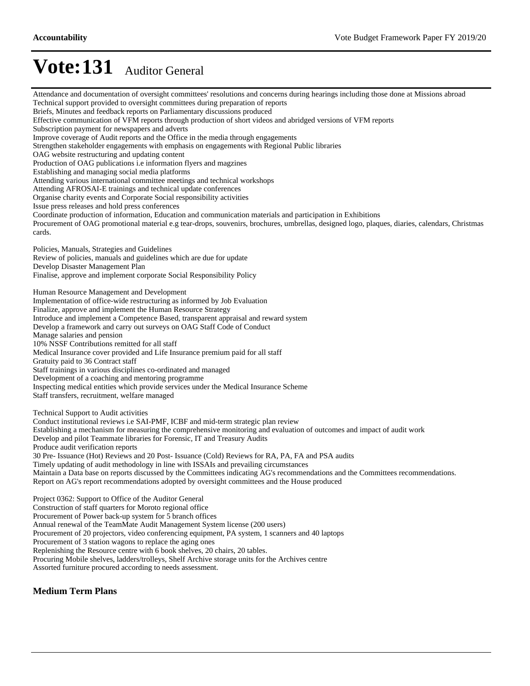Attendance and documentation of oversight committees' resolutions and concerns during hearings including those done at Missions abroad Technical support provided to oversight committees during preparation of reports Briefs, Minutes and feedback reports on Parliamentary discussions produced Effective communication of VFM reports through production of short videos and abridged versions of VFM reports Subscription payment for newspapers and adverts Improve coverage of Audit reports and the Office in the media through engagements Strengthen stakeholder engagements with emphasis on engagements with Regional Public libraries OAG website restructuring and updating content Production of OAG publications i.e information flyers and magzines Establishing and managing social media platforms Attending various international committee meetings and technical workshops Attending AFROSAI-E trainings and technical update conferences Organise charity events and Corporate Social responsibility activities Issue press releases and hold press conferences Coordinate production of information, Education and communication materials and participation in Exhibitions Procurement of OAG promotional material e.g tear-drops, souvenirs, brochures, umbrellas, designed logo, plaques, diaries, calendars, Christmas cards. Policies, Manuals, Strategies and Guidelines Review of policies, manuals and guidelines which are due for update Develop Disaster Management Plan Finalise, approve and implement corporate Social Responsibility Policy Human Resource Management and Development Implementation of office-wide restructuring as informed by Job Evaluation Finalize, approve and implement the Human Resource Strategy Introduce and implement a Competence Based, transparent appraisal and reward system Develop a framework and carry out surveys on OAG Staff Code of Conduct Manage salaries and pension 10% NSSF Contributions remitted for all staff Medical Insurance cover provided and Life Insurance premium paid for all staff Gratuity paid to 36 Contract staff Staff trainings in various disciplines co-ordinated and managed Development of a coaching and mentoring programme Inspecting medical entities which provide services under the Medical Insurance Scheme Staff transfers, recruitment, welfare managed Technical Support to Audit activities Conduct institutional reviews i.e SAI-PMF, ICBF and mid-term strategic plan review Establishing a mechanism for measuring the comprehensive monitoring and evaluation of outcomes and impact of audit work Develop and pilot Teammate libraries for Forensic, IT and Treasury Audits Produce audit verification reports 30 Pre- Issuance (Hot) Reviews and 20 Post- Issuance (Cold) Reviews for RA, PA, FA and PSA audits Timely updating of audit methodology in line with ISSAIs and prevailing circumstances Maintain a Data base on reports discussed by the Committees indicating AG's recommendations and the Committees recommendations. Report on AG's report recommendations adopted by oversight committees and the House produced Project 0362: Support to Office of the Auditor General Construction of staff quarters for Moroto regional office Procurement of Power back-up system for 5 branch offices Annual renewal of the TeamMate Audit Management System license (200 users) Procurement of 20 projectors, video conferencing equipment, PA system, 1 scanners and 40 laptops Procurement of 3 station wagons to replace the aging ones Replenishing the Resource centre with 6 book shelves, 20 chairs, 20 tables. Procuring Mobile shelves, ladders/trolleys, Shelf Archive storage units for the Archives centre Assorted furniture procured according to needs assessment.

#### **Medium Term Plans**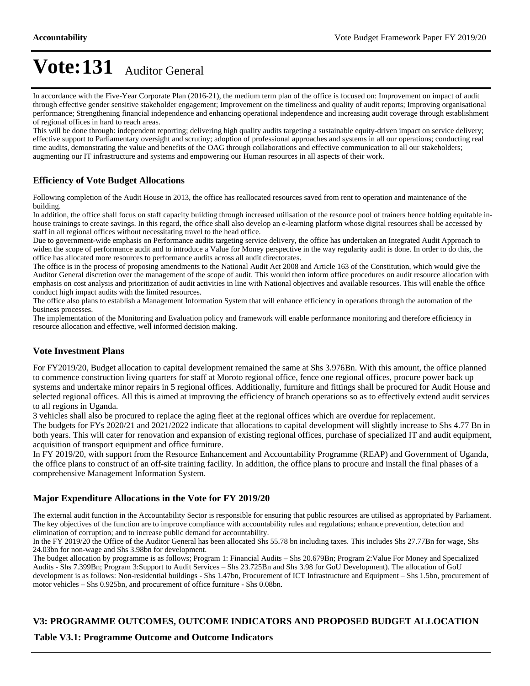In accordance with the Five-Year Corporate Plan (2016-21), the medium term plan of the office is focused on: Improvement on impact of audit through effective gender sensitive stakeholder engagement; Improvement on the timeliness and quality of audit reports; Improving organisational performance; Strengthening financial independence and enhancing operational independence and increasing audit coverage through establishment of regional offices in hard to reach areas.

This will be done through: independent reporting; delivering high quality audits targeting a sustainable equity-driven impact on service delivery; effective support to Parliamentary oversight and scrutiny; adoption of professional approaches and systems in all our operations; conducting real time audits, demonstrating the value and benefits of the OAG through collaborations and effective communication to all our stakeholders; augmenting our IT infrastructure and systems and empowering our Human resources in all aspects of their work.

### **Efficiency of Vote Budget Allocations**

Following completion of the Audit House in 2013, the office has reallocated resources saved from rent to operation and maintenance of the building.

In addition, the office shall focus on staff capacity building through increased utilisation of the resource pool of trainers hence holding equitable inhouse trainings to create savings. In this regard, the office shall also develop an e-learning platform whose digital resources shall be accessed by staff in all regional offices without necessitating travel to the head office.

Due to government-wide emphasis on Performance audits targeting service delivery, the office has undertaken an Integrated Audit Approach to widen the scope of performance audit and to introduce a Value for Money perspective in the way regularity audit is done. In order to do this, the office has allocated more resources to performance audits across all audit directorates.

The office is in the process of proposing amendments to the National Audit Act 2008 and Article 163 of the Constitution, which would give the Auditor General discretion over the management of the scope of audit. This would then inform office procedures on audit resource allocation with emphasis on cost analysis and prioritization of audit activities in line with National objectives and available resources. This will enable the office conduct high impact audits with the limited resources.

The office also plans to establish a Management Information System that will enhance efficiency in operations through the automation of the business processes.

The implementation of the Monitoring and Evaluation policy and framework will enable performance monitoring and therefore efficiency in resource allocation and effective, well informed decision making.

#### **Vote Investment Plans**

For FY2019/20, Budget allocation to capital development remained the same at Shs 3.976Bn. With this amount, the office planned to commence construction living quarters for staff at Moroto regional office, fence one regional offices, procure power back up systems and undertake minor repairs in 5 regional offices. Additionally, furniture and fittings shall be procured for Audit House and selected regional offices. All this is aimed at improving the efficiency of branch operations so as to effectively extend audit services to all regions in Uganda.

3 vehicles shall also be procured to replace the aging fleet at the regional offices which are overdue for replacement.

The budgets for FYs 2020/21 and 2021/2022 indicate that allocations to capital development will slightly increase to Shs 4.77 Bn in both years. This will cater for renovation and expansion of existing regional offices, purchase of specialized IT and audit equipment, acquisition of transport equipment and office furniture.

In FY 2019/20, with support from the Resource Enhancement and Accountability Programme (REAP) and Government of Uganda, the office plans to construct of an off-site training facility. In addition, the office plans to procure and install the final phases of a comprehensive Management Information System.

#### **Major Expenditure Allocations in the Vote for FY 2019/20**

The external audit function in the Accountability Sector is responsible for ensuring that public resources are utilised as appropriated by Parliament. The key objectives of the function are to improve compliance with accountability rules and regulations; enhance prevention, detection and elimination of corruption; and to increase public demand for accountability.

In the FY 2019/20 the Office of the Auditor General has been allocated Shs 55.78 bn including taxes. This includes Shs 27.77Bn for wage, Shs 24.03bn for non-wage and Shs 3.98bn for development.

The budget allocation by programme is as follows; Program 1: Financial Audits - Shs 20.679Bn; Program 2:Value For Money and Specialized Audits - Shs 7.399Bn; Program 3:Support to Audit Services - Shs 23.725Bn and Shs 3.98 for GoU Development). The allocation of GoU development is as follows: Non-residential buildings - Shs 1.47bn, Procurement of ICT Infrastructure and Equipment - Shs 1.5bn, procurement of motor vehicles - Shs 0.925bn, and procurement of office furniture - Shs 0.08bn.

#### **V3: PROGRAMME OUTCOMES, OUTCOME INDICATORS AND PROPOSED BUDGET ALLOCATION**

#### **Table V3.1: Programme Outcome and Outcome Indicators**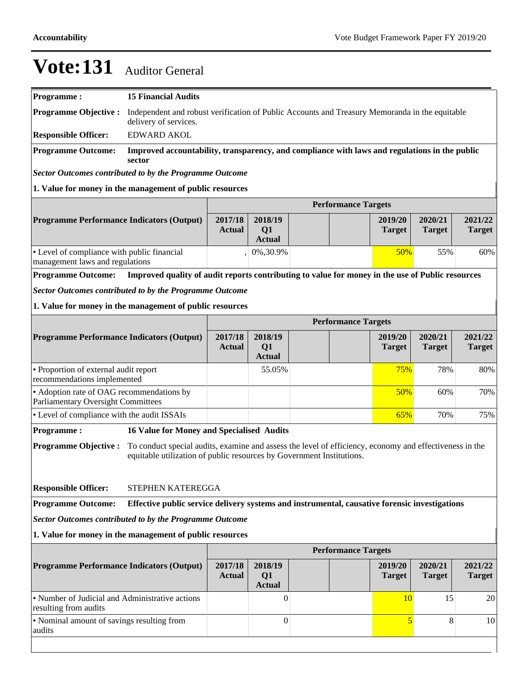| <b>Programme:</b>                                                                                                                                                                                                                                                   | <b>15 Financial Audits</b>                                                                                              |                          |                                            |  |                            |                          |                          |                          |
|---------------------------------------------------------------------------------------------------------------------------------------------------------------------------------------------------------------------------------------------------------------------|-------------------------------------------------------------------------------------------------------------------------|--------------------------|--------------------------------------------|--|----------------------------|--------------------------|--------------------------|--------------------------|
| <b>Programme Objective:</b>                                                                                                                                                                                                                                         | Independent and robust verification of Public Accounts and Treasury Memoranda in the equitable<br>delivery of services. |                          |                                            |  |                            |                          |                          |                          |
| <b>Responsible Officer:</b>                                                                                                                                                                                                                                         | <b>EDWARD AKOL</b>                                                                                                      |                          |                                            |  |                            |                          |                          |                          |
| <b>Programme Outcome:</b>                                                                                                                                                                                                                                           | Improved accountability, transparency, and compliance with laws and regulations in the public<br>sector                 |                          |                                            |  |                            |                          |                          |                          |
| <b>Sector Outcomes contributed to by the Programme Outcome</b>                                                                                                                                                                                                      |                                                                                                                         |                          |                                            |  |                            |                          |                          |                          |
| 1. Value for money in the management of public resources                                                                                                                                                                                                            |                                                                                                                         |                          |                                            |  |                            |                          |                          |                          |
|                                                                                                                                                                                                                                                                     |                                                                                                                         |                          |                                            |  | <b>Performance Targets</b> |                          |                          |                          |
| <b>Programme Performance Indicators (Output)</b>                                                                                                                                                                                                                    |                                                                                                                         | 2017/18<br><b>Actual</b> | 2018/19<br>Q1<br><b>Actual</b>             |  |                            | 2019/20<br><b>Target</b> | 2020/21<br><b>Target</b> | 2021/22<br><b>Target</b> |
| • Level of compliance with public financial<br>management laws and regulations                                                                                                                                                                                      |                                                                                                                         |                          | 0%,30.9%                                   |  |                            | 50%                      | 55%                      | 60%                      |
| <b>Programme Outcome:</b>                                                                                                                                                                                                                                           | Improved quality of audit reports contributing to value for money in the use of Public resources                        |                          |                                            |  |                            |                          |                          |                          |
| <b>Sector Outcomes contributed to by the Programme Outcome</b>                                                                                                                                                                                                      |                                                                                                                         |                          |                                            |  |                            |                          |                          |                          |
| 1. Value for money in the management of public resources                                                                                                                                                                                                            |                                                                                                                         |                          |                                            |  |                            |                          |                          |                          |
|                                                                                                                                                                                                                                                                     |                                                                                                                         |                          |                                            |  | <b>Performance Targets</b> |                          |                          |                          |
| <b>Programme Performance Indicators (Output)</b>                                                                                                                                                                                                                    |                                                                                                                         | 2017/18<br><b>Actual</b> | 2018/19<br>Q1<br><b>Actual</b>             |  |                            | 2019/20<br><b>Target</b> | 2020/21<br><b>Target</b> | 2021/22<br><b>Target</b> |
| • Proportion of external audit report<br>recommendations implemented                                                                                                                                                                                                |                                                                                                                         |                          | 55.05%                                     |  |                            | 75%                      | 78%                      | 80%                      |
| • Adoption rate of OAG recommendations by<br><b>Parliamentary Oversight Committees</b>                                                                                                                                                                              |                                                                                                                         |                          |                                            |  |                            | 50%                      | 60%                      | 70%                      |
| • Level of compliance with the audit ISSAIs                                                                                                                                                                                                                         |                                                                                                                         |                          |                                            |  |                            | 65%                      | 70%                      | 75%                      |
| <b>Programme:</b>                                                                                                                                                                                                                                                   | <b>16 Value for Money and Specialised Audits</b>                                                                        |                          |                                            |  |                            |                          |                          |                          |
| To conduct special audits, examine and assess the level of efficiency, economy and effectiveness in the<br><b>Programme Objective:</b><br>equitable utilization of public resources by Government Institutions.<br><b>Responsible Officer:</b><br>STEPHEN KATEREGGA |                                                                                                                         |                          |                                            |  |                            |                          |                          |                          |
| <b>Programme Outcome:</b>                                                                                                                                                                                                                                           | Effective public service delivery systems and instrumental, causative forensic investigations                           |                          |                                            |  |                            |                          |                          |                          |
| <b>Sector Outcomes contributed to by the Programme Outcome</b>                                                                                                                                                                                                      |                                                                                                                         |                          |                                            |  |                            |                          |                          |                          |
| 1. Value for money in the management of public resources                                                                                                                                                                                                            |                                                                                                                         |                          |                                            |  |                            |                          |                          |                          |
|                                                                                                                                                                                                                                                                     | <b>Performance Targets</b>                                                                                              |                          |                                            |  |                            |                          |                          |                          |
| <b>Programme Performance Indicators (Output)</b>                                                                                                                                                                                                                    |                                                                                                                         | 2017/18<br><b>Actual</b> | 2018/19<br>Q <sub>1</sub><br><b>Actual</b> |  |                            | 2019/20<br><b>Target</b> | 2020/21<br><b>Target</b> | 2021/22<br><b>Target</b> |
| • Number of Judicial and Administrative actions<br>resulting from audits                                                                                                                                                                                            |                                                                                                                         |                          | $\Omega$                                   |  |                            | 10                       | 15                       | 20                       |
| • Nominal amount of savings resulting from<br>audits                                                                                                                                                                                                                |                                                                                                                         |                          | $\boldsymbol{0}$                           |  |                            | $\overline{5}$           | 8                        | 10                       |
|                                                                                                                                                                                                                                                                     |                                                                                                                         |                          |                                            |  |                            |                          |                          |                          |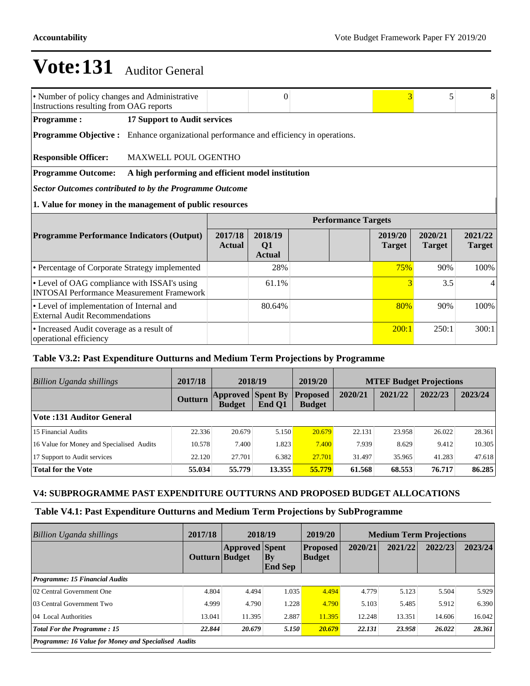| • Number of policy changes and Administrative<br>Instructions resulting from OAG reports         |                                                   |                          | $\Omega$                       |                            | 3                        | 5                        | 8                        |
|--------------------------------------------------------------------------------------------------|---------------------------------------------------|--------------------------|--------------------------------|----------------------------|--------------------------|--------------------------|--------------------------|
| <b>Programme:</b>                                                                                | 17 Support to Audit services                      |                          |                                |                            |                          |                          |                          |
| <b>Programme Objective :</b> Enhance organizational performance and efficiency in operations.    |                                                   |                          |                                |                            |                          |                          |                          |
| <b>Responsible Officer:</b>                                                                      | MAXWELL POUL OGENTHO                              |                          |                                |                            |                          |                          |                          |
| <b>Programme Outcome:</b>                                                                        | A high performing and efficient model institution |                          |                                |                            |                          |                          |                          |
| Sector Outcomes contributed to by the Programme Outcome                                          |                                                   |                          |                                |                            |                          |                          |                          |
| 1. Value for money in the management of public resources                                         |                                                   |                          |                                |                            |                          |                          |                          |
|                                                                                                  |                                                   |                          |                                | <b>Performance Targets</b> |                          |                          |                          |
| <b>Programme Performance Indicators (Output)</b>                                                 |                                                   | 2017/18<br><b>Actual</b> | 2018/19<br>Q1<br><b>Actual</b> |                            | 2019/20<br><b>Target</b> | 2020/21<br><b>Target</b> | 2021/22<br><b>Target</b> |
| • Percentage of Corporate Strategy implemented                                                   |                                                   |                          | 28%                            |                            | 75%                      | 90%                      | 100%                     |
| • Level of OAG compliance with ISSAI's using<br><b>INTOSAI Performance Measurement Framework</b> |                                                   |                          | 61.1%                          |                            | 3                        | 3.5                      |                          |
| • Level of implementation of Internal and<br><b>External Audit Recommendations</b>               |                                                   |                          | 80.64%                         |                            | 80%                      | 90%                      | 100%                     |
| • Increased Audit coverage as a result of<br>operational efficiency                              |                                                   |                          |                                |                            | 200:1                    | 250:1                    | 300:1                    |

### **Table V3.2: Past Expenditure Outturns and Medium Term Projections by Programme**

| Billion Uganda shillings                  | 2017/18        | 2018/19                                   |        | 2019/20                          | <b>MTEF Budget Projections</b> |         |         |         |
|-------------------------------------------|----------------|-------------------------------------------|--------|----------------------------------|--------------------------------|---------|---------|---------|
|                                           | <b>Outturn</b> | <b>Approved Spent By</b><br><b>Budget</b> | End Q1 | <b>Proposed</b><br><b>Budget</b> | 2020/21                        | 2021/22 | 2022/23 | 2023/24 |
| <b>Vote:131 Auditor General</b>           |                |                                           |        |                                  |                                |         |         |         |
| 15 Financial Audits                       | 22.336         | 20.679                                    | 5.150  | 20.679                           | 22.131                         | 23.958  | 26.022  | 28.361  |
| 16 Value for Money and Specialised Audits | 10.578         | 7.400                                     | 1.823  | 7.400                            | 7.939                          | 8.629   | 9.412   | 10.305  |
| 17 Support to Audit services              | 22.120         | 27.701                                    | 6.382  | 27.701                           | 31.497                         | 35.965  | 41.283  | 47.618  |
| <b>Total for the Vote</b>                 | 55.034         | 55,779                                    | 13.355 | 55.779                           | 61.568                         | 68.553  | 76.717  | 86.285  |

### **V4: SUBPROGRAMME PAST EXPENDITURE OUTTURNS AND PROPOSED BUDGET ALLOCATIONS**

### **Table V4.1: Past Expenditure Outturns and Medium Term Projections by SubProgramme**

| <b>Billion Uganda shillings</b>                             | 2017/18        | 2018/19               |                             | 2019/20                          | <b>Medium Term Projections</b> |         |         |         |
|-------------------------------------------------------------|----------------|-----------------------|-----------------------------|----------------------------------|--------------------------------|---------|---------|---------|
|                                                             | Outturn Budget | <b>Approved</b> Spent | $\bf{By}$<br><b>End Sep</b> | <b>Proposed</b><br><b>Budget</b> | 2020/21                        | 2021/22 | 2022/23 | 2023/24 |
| Programme: 15 Financial Audits                              |                |                       |                             |                                  |                                |         |         |         |
| 02 Central Government One                                   | 4.804          | 4.494                 | 1.035                       | 4.494                            | 4.779                          | 5.123   | 5.504   | 5.929   |
| 03 Central Government Two                                   | 4.999          | 4.790                 | 1.228                       | 4.790                            | 5.103                          | 5.485   | 5.912   | 6.390   |
| 04 Local Authorities                                        | 13.041         | 11.395                | 2.887                       | 11.395                           | 12.248                         | 13.351  | 14.606  | 16.042  |
| <b>Total For the Programme: 15</b>                          | 22.844         | 20.679                | 5.150                       | 20.679                           | 22.131                         | 23.958  | 26.022  | 28.361  |
| <b>Programme: 16 Value for Money and Specialised Audits</b> |                |                       |                             |                                  |                                |         |         |         |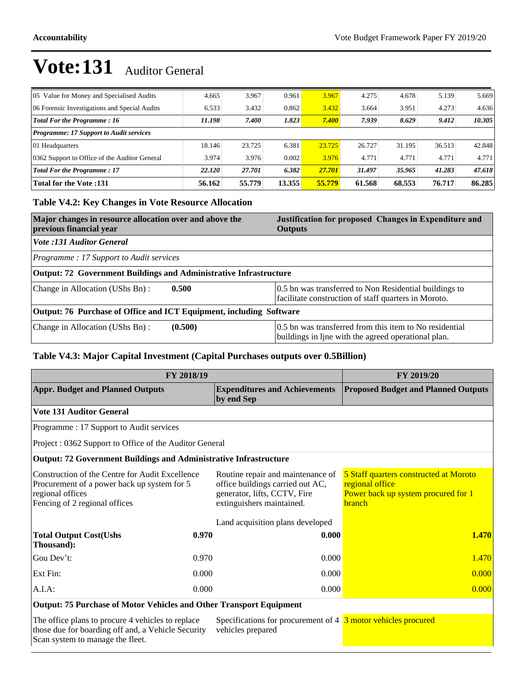| 05 Value for Money and Specialised Audits      | 4.665  | 3.967  | 0.961  | 3.967  | 4.275  | 4.678  | 5.139  | 5.669  |
|------------------------------------------------|--------|--------|--------|--------|--------|--------|--------|--------|
| 06 Forensic Investigations and Special Audits  | 6.533  | 3.432  | 0.862  | 3.432  | 3.664  | 3.951  | 4.273  | 4.636  |
| <b>Total For the Programme: 16</b>             | 11.198 | 7.400  | 1.823  | 7.400  | 7.939  | 8.629  | 9.412  | 10.305 |
| <b>Programme: 17 Support to Audit services</b> |        |        |        |        |        |        |        |        |
| 01 Headquarters                                | 18.146 | 23.725 | 6.381  | 23.725 | 26.727 | 31.195 | 36.513 | 42.848 |
| 0362 Support to Office of the Auditor General  | 3.974  | 3.976  | 0.002  | 3.976  | 4.771  | 4.771  | 4.771  | 4.771  |
| <b>Total For the Programme: 17</b>             | 22.120 | 27.701 | 6.382  | 27.701 | 31.497 | 35.965 | 41.283 | 47.618 |
| <b>Total for the Vote:131</b>                  | 56.162 | 55,779 | 13.355 | 55.779 | 61.568 | 68.553 | 76.717 | 86.285 |

### **Table V4.2: Key Changes in Vote Resource Allocation**

| Major changes in resource allocation over and above the<br>previous financial year | Justification for proposed Changes in Expenditure and<br><b>Outputs</b>                                        |  |  |  |  |  |
|------------------------------------------------------------------------------------|----------------------------------------------------------------------------------------------------------------|--|--|--|--|--|
| Vote :131 Auditor General                                                          |                                                                                                                |  |  |  |  |  |
| <i>Programme: 17 Support to Audit services</i>                                     |                                                                                                                |  |  |  |  |  |
| Output: 72 Government Buildings and Administrative Infrastructure                  |                                                                                                                |  |  |  |  |  |
| Change in Allocation (UShs Bn):<br>0.500                                           | 0.5 bn was transferred to Non Residential buildings to<br>facilitate construction of staff quarters in Moroto. |  |  |  |  |  |
| Output: 76 Purchase of Office and ICT Equipment, including Software                |                                                                                                                |  |  |  |  |  |
| Change in Allocation (UShs Bn):<br>(0.500)                                         | 0.5 bn was transferred from this item to No residential<br>buildings in line with the agreed operational plan. |  |  |  |  |  |

### **Table V4.3: Major Capital Investment (Capital Purchases outputs over 0.5Billion)**

|                                                                                                                                                     | FY 2018/19 |                                                                                                                                    | <b>FY 2019/20</b>                                                                                                 |  |
|-----------------------------------------------------------------------------------------------------------------------------------------------------|------------|------------------------------------------------------------------------------------------------------------------------------------|-------------------------------------------------------------------------------------------------------------------|--|
| <b>Appr. Budget and Planned Outputs</b>                                                                                                             |            | <b>Expenditures and Achievements</b><br>by end Sep                                                                                 | <b>Proposed Budget and Planned Outputs</b>                                                                        |  |
| <b>Vote 131 Auditor General</b>                                                                                                                     |            |                                                                                                                                    |                                                                                                                   |  |
| Programme : 17 Support to Audit services                                                                                                            |            |                                                                                                                                    |                                                                                                                   |  |
| Project: 0362 Support to Office of the Auditor General                                                                                              |            |                                                                                                                                    |                                                                                                                   |  |
| <b>Output: 72 Government Buildings and Administrative Infrastructure</b>                                                                            |            |                                                                                                                                    |                                                                                                                   |  |
| Construction of the Centre for Audit Excellence<br>Procurement of a power back up system for 5<br>regional offices<br>Fencing of 2 regional offices |            | Routine repair and maintenance of<br>office buildings carried out AC,<br>generator, lifts, CCTV, Fire<br>extinguishers maintained. | 5 Staff quarters constructed at Moroto<br>regional office<br>Power back up system procured for 1<br><b>branch</b> |  |
|                                                                                                                                                     |            | Land acquisition plans developed                                                                                                   |                                                                                                                   |  |
| <b>Total Output Cost(Ushs</b><br>Thousand):                                                                                                         | 0.970      | 0.000                                                                                                                              | <b>1.470</b>                                                                                                      |  |
| Gou Dev't:                                                                                                                                          | 0.970      | 0.000                                                                                                                              | 1.470                                                                                                             |  |
| Ext Fin:                                                                                                                                            | 0.000      | 0.000                                                                                                                              | 0.000                                                                                                             |  |
| $A.I.A$ :                                                                                                                                           | 0.000      | 0.000                                                                                                                              | 0.000                                                                                                             |  |
| <b>Output: 75 Purchase of Motor Vehicles and Other Transport Equipment</b>                                                                          |            |                                                                                                                                    |                                                                                                                   |  |

#### The office plans to procure 4 vehicles to replace those due for boarding off and, a Vehicle Security Scan system to manage the fleet.

Specifications for procurement of 4 3 motor vehicles procured vehicles prepared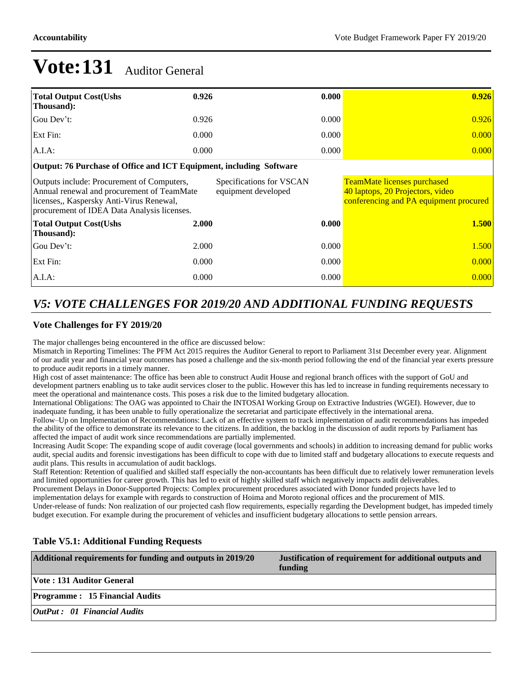| <b>Total Output Cost(Ushs)</b><br>Thousand):                                                                                                                                        | 0.926 | 0.000                                           | 0.926                                                                                                            |
|-------------------------------------------------------------------------------------------------------------------------------------------------------------------------------------|-------|-------------------------------------------------|------------------------------------------------------------------------------------------------------------------|
| Gou Dev't:                                                                                                                                                                          | 0.926 | 0.000                                           | 0.926                                                                                                            |
| Ext Fin:                                                                                                                                                                            | 0.000 | 0.000                                           | 0.000                                                                                                            |
| $A.I.A$ :                                                                                                                                                                           | 0.000 | 0.000                                           | 0.000                                                                                                            |
| Output: 76 Purchase of Office and ICT Equipment, including Software                                                                                                                 |       |                                                 |                                                                                                                  |
| Outputs include: Procurement of Computers,<br>Annual renewal and procurement of TeamMate<br>licenses,, Kaspersky Anti-Virus Renewal,<br>procurement of IDEA Data Analysis licenses. |       | Specifications for VSCAN<br>equipment developed | <b>TeamMate licenses purchased</b><br>40 laptops, 20 Projectors, video<br>conferencing and PA equipment procured |
| <b>Total Output Cost(Ushs)</b><br>Thousand):                                                                                                                                        | 2.000 | 0.000                                           | 1.500                                                                                                            |
| Gou Dev't:                                                                                                                                                                          | 2.000 | 0.000                                           | <b>1.500</b>                                                                                                     |
| Ext Fin:                                                                                                                                                                            | 0.000 | 0.000                                           | 0.000                                                                                                            |
| $A.I.A$ :                                                                                                                                                                           | 0.000 | 0.000                                           | 0.000                                                                                                            |

## *V5: VOTE CHALLENGES FOR 2019/20 AND ADDITIONAL FUNDING REQUESTS*

#### **Vote Challenges for FY 2019/20**

The major challenges being encountered in the office are discussed below:

Mismatch in Reporting Timelines: The PFM Act 2015 requires the Auditor General to report to Parliament 31st December every year. Alignment of our audit year and financial year outcomes has posed a challenge and the six-month period following the end of the financial year exerts pressure to produce audit reports in a timely manner.

High cost of asset maintenance: The office has been able to construct Audit House and regional branch offices with the support of GoU and development partners enabling us to take audit services closer to the public. However this has led to increase in funding requirements necessary to meet the operational and maintenance costs. This poses a risk due to the limited budgetary allocation.

International Obligations: The OAG was appointed to Chair the INTOSAI Working Group on Extractive Industries (WGEI). However, due to inadequate funding, it has been unable to fully operationalize the secretariat and participate effectively in the international arena.

Follow±Up on Implementation of Recommendations: Lack of an effective system to track implementation of audit recommendations has impeded the ability of the office to demonstrate its relevance to the citizens. In addition, the backlog in the discussion of audit reports by Parliament has affected the impact of audit work since recommendations are partially implemented.

Increasing Audit Scope: The expanding scope of audit coverage (local governments and schools) in addition to increasing demand for public works audit, special audits and forensic investigations has been difficult to cope with due to limited staff and budgetary allocations to execute requests and audit plans. This results in accumulation of audit backlogs.

Staff Retention: Retention of qualified and skilled staff especially the non-accountants has been difficult due to relatively lower remuneration levels and limited opportunities for career growth. This has led to exit of highly skilled staff which negatively impacts audit deliverables.

Procurement Delays in Donor-Supported Projects: Complex procurement procedures associated with Donor funded projects have led to

implementation delays for example with regards to construction of Hoima and Moroto regional offices and the procurement of MIS. Under-release of funds: Non realization of our projected cash flow requirements, especially regarding the Development budget, has impeded timely

budget execution. For example during the procurement of vehicles and insufficient budgetary allocations to settle pension arrears.

### **Table V5.1: Additional Funding Requests**

| Additional requirements for funding and outputs in 2019/20 | Justification of requirement for additional outputs and<br>funding |
|------------------------------------------------------------|--------------------------------------------------------------------|
| <b>Vote: 131 Auditor General</b>                           |                                                                    |
| <b>Programme: 15 Financial Audits</b>                      |                                                                    |
| $\theta$ <i>OutPut</i> : 01 Financial Audits               |                                                                    |